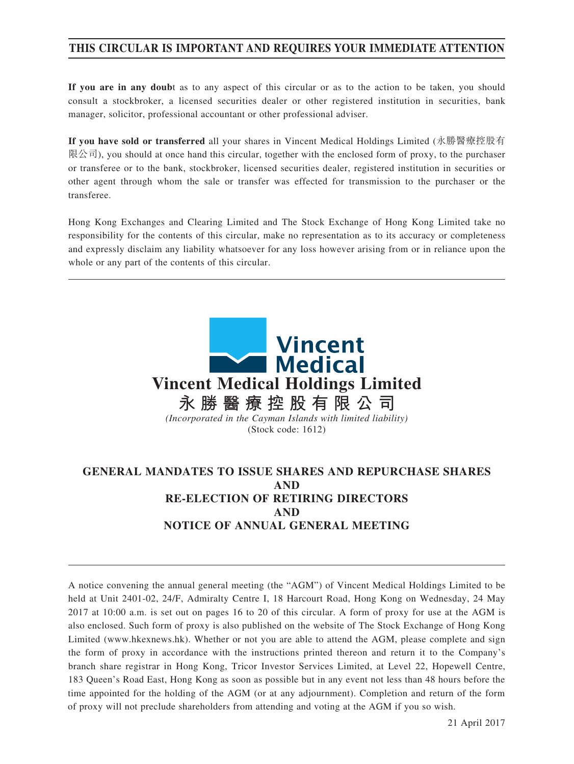## **THIS CIRCULAR IS IMPORTANT AND REQUIRES YOUR IMMEDIATE ATTENTION**

**If you are in any doub**t as to any aspect of this circular or as to the action to be taken, you should consult a stockbroker, a licensed securities dealer or other registered institution in securities, bank manager, solicitor, professional accountant or other professional adviser.

**If you have sold or transferred** all your shares in Vincent Medical Holdings Limited (永勝醫療控股有 限公司), you should at once hand this circular, together with the enclosed form of proxy, to the purchaser or transferee or to the bank, stockbroker, licensed securities dealer, registered institution in securities or other agent through whom the sale or transfer was effected for transmission to the purchaser or the transferee.

Hong Kong Exchanges and Clearing Limited and The Stock Exchange of Hong Kong Limited take no responsibility for the contents of this circular, make no representation as to its accuracy or completeness and expressly disclaim any liability whatsoever for any loss however arising from or in reliance upon the whole or any part of the contents of this circular.



## **GENERAL MANDATES TO ISSUE SHARES AND REPURCHASE SHARES AND RE-ELECTION OF RETIRING DIRECTORS AND NOTICE OF ANNUAL GENERAL MEETING**

A notice convening the annual general meeting (the "AGM") of Vincent Medical Holdings Limited to be held at Unit 2401-02, 24/F, Admiralty Centre I, 18 Harcourt Road, Hong Kong on Wednesday, 24 May 2017 at 10:00 a.m. is set out on pages 16 to 20 of this circular. A form of proxy for use at the AGM is also enclosed. Such form of proxy is also published on the website of The Stock Exchange of Hong Kong Limited (www.hkexnews.hk). Whether or not you are able to attend the AGM, please complete and sign the form of proxy in accordance with the instructions printed thereon and return it to the Company's branch share registrar in Hong Kong, Tricor Investor Services Limited, at Level 22, Hopewell Centre, 183 Queen's Road East, Hong Kong as soon as possible but in any event not less than 48 hours before the time appointed for the holding of the AGM (or at any adjournment). Completion and return of the form of proxy will not preclude shareholders from attending and voting at the AGM if you so wish.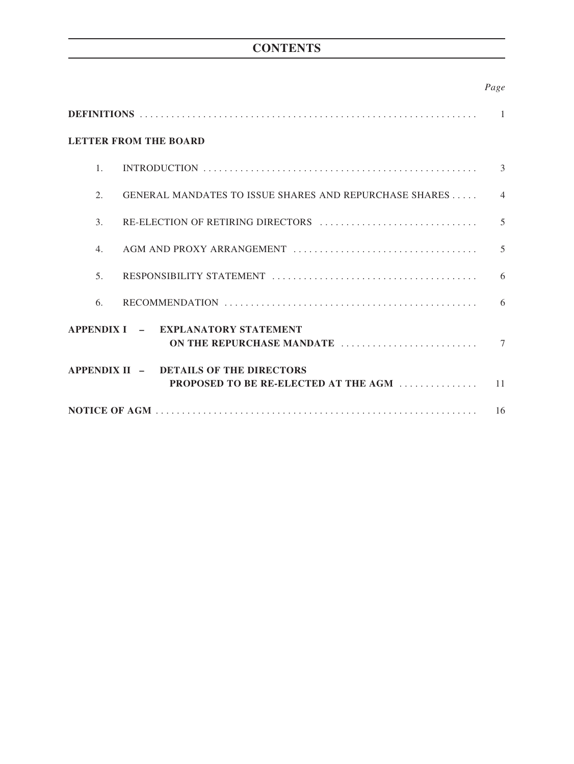## **CONTENTS**

## *Page*

| $\mathbf{1}$                 |                                                                                |                |  |  |
|------------------------------|--------------------------------------------------------------------------------|----------------|--|--|
| <b>LETTER FROM THE BOARD</b> |                                                                                |                |  |  |
| $\mathbf{1}$                 |                                                                                | $\mathcal{E}$  |  |  |
| 2.                           | GENERAL MANDATES TO ISSUE SHARES AND REPURCHASE SHARES                         | $\overline{4}$ |  |  |
| 3.                           | RE-ELECTION OF RETIRING DIRECTORS                                              | 5              |  |  |
| 4.                           |                                                                                | 5              |  |  |
| 5 <sub>1</sub>               |                                                                                | 6              |  |  |
| 6.                           |                                                                                | 6              |  |  |
|                              | APPENDIX I - EXPLANATORY STATEMENT<br>ON THE REPURCHASE MANDATE                | $\tau$         |  |  |
|                              | APPENDIX II - DETAILS OF THE DIRECTORS<br>PROPOSED TO BE RE-ELECTED AT THE AGM | 11             |  |  |
|                              |                                                                                |                |  |  |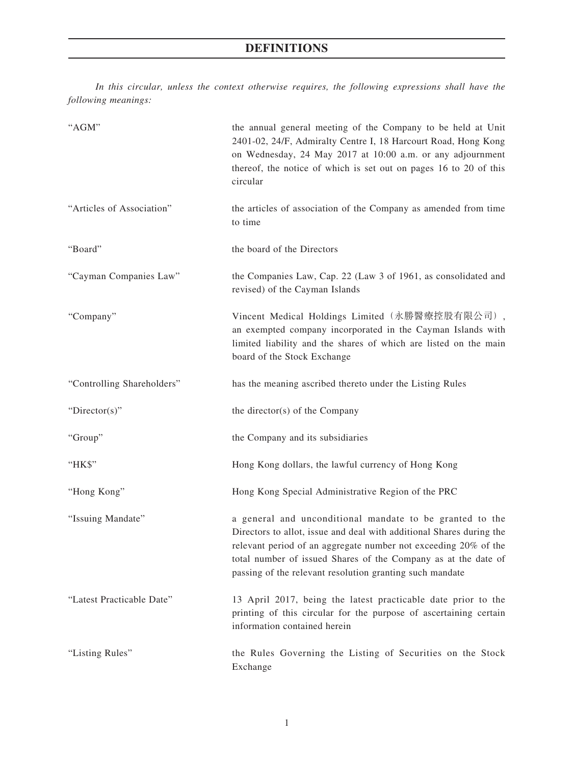# **DEFINITIONS**

*In this circular, unless the context otherwise requires, the following expressions shall have the following meanings:*

| "AGM"                      | the annual general meeting of the Company to be held at Unit<br>2401-02, 24/F, Admiralty Centre I, 18 Harcourt Road, Hong Kong<br>on Wednesday, 24 May 2017 at 10:00 a.m. or any adjournment<br>thereof, the notice of which is set out on pages 16 to 20 of this<br>circular                                                     |
|----------------------------|-----------------------------------------------------------------------------------------------------------------------------------------------------------------------------------------------------------------------------------------------------------------------------------------------------------------------------------|
| "Articles of Association"  | the articles of association of the Company as amended from time<br>to time                                                                                                                                                                                                                                                        |
| "Board"                    | the board of the Directors                                                                                                                                                                                                                                                                                                        |
| "Cayman Companies Law"     | the Companies Law, Cap. 22 (Law 3 of 1961, as consolidated and<br>revised) of the Cayman Islands                                                                                                                                                                                                                                  |
| "Company"                  | Vincent Medical Holdings Limited (永勝醫療控股有限公司),<br>an exempted company incorporated in the Cayman Islands with<br>limited liability and the shares of which are listed on the main<br>board of the Stock Exchange                                                                                                                  |
| "Controlling Shareholders" | has the meaning ascribed thereto under the Listing Rules                                                                                                                                                                                                                                                                          |
| "Director(s)"              | the director(s) of the Company                                                                                                                                                                                                                                                                                                    |
| "Group"                    | the Company and its subsidiaries                                                                                                                                                                                                                                                                                                  |
| "HK\$"                     | Hong Kong dollars, the lawful currency of Hong Kong                                                                                                                                                                                                                                                                               |
| "Hong Kong"                | Hong Kong Special Administrative Region of the PRC                                                                                                                                                                                                                                                                                |
| "Issuing Mandate"          | a general and unconditional mandate to be granted to the<br>Directors to allot, issue and deal with additional Shares during the<br>relevant period of an aggregate number not exceeding 20% of the<br>total number of issued Shares of the Company as at the date of<br>passing of the relevant resolution granting such mandate |
| "Latest Practicable Date"  | 13 April 2017, being the latest practicable date prior to the<br>printing of this circular for the purpose of ascertaining certain<br>information contained herein                                                                                                                                                                |
| "Listing Rules"            | the Rules Governing the Listing of Securities on the Stock<br>Exchange                                                                                                                                                                                                                                                            |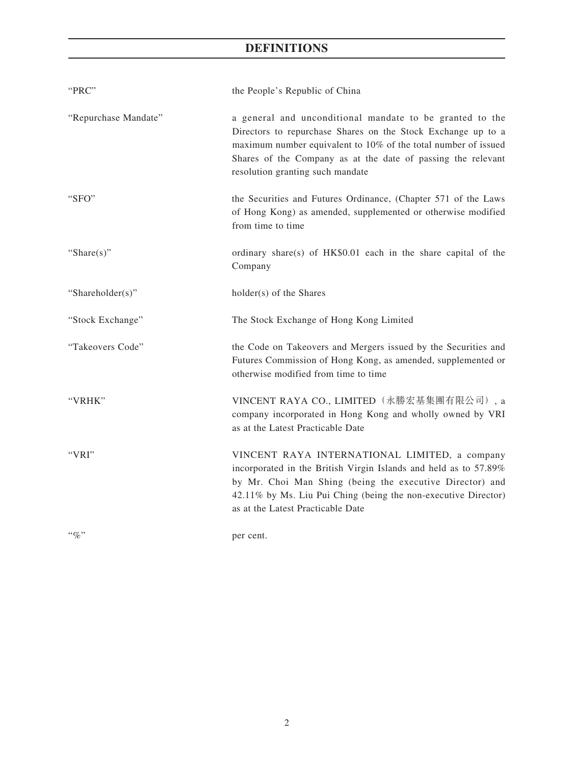# **DEFINITIONS**

| "PRC"                | the People's Republic of China                                                                                                                                                                                                                                                                 |
|----------------------|------------------------------------------------------------------------------------------------------------------------------------------------------------------------------------------------------------------------------------------------------------------------------------------------|
| "Repurchase Mandate" | a general and unconditional mandate to be granted to the<br>Directors to repurchase Shares on the Stock Exchange up to a<br>maximum number equivalent to 10% of the total number of issued<br>Shares of the Company as at the date of passing the relevant<br>resolution granting such mandate |
| "SFO"                | the Securities and Futures Ordinance, (Chapter 571 of the Laws<br>of Hong Kong) as amended, supplemented or otherwise modified<br>from time to time                                                                                                                                            |
| "Share $(s)$ "       | ordinary share(s) of HK\$0.01 each in the share capital of the<br>Company                                                                                                                                                                                                                      |
| "Shareholder(s)"     | holder(s) of the Shares                                                                                                                                                                                                                                                                        |
| "Stock Exchange"     | The Stock Exchange of Hong Kong Limited                                                                                                                                                                                                                                                        |
| "Takeovers Code"     | the Code on Takeovers and Mergers issued by the Securities and<br>Futures Commission of Hong Kong, as amended, supplemented or<br>otherwise modified from time to time                                                                                                                         |
| "VRHK"               | VINCENT RAYA CO., LIMITED (永勝宏基集團有限公司), a<br>company incorporated in Hong Kong and wholly owned by VRI<br>as at the Latest Practicable Date                                                                                                                                                    |
| "VRI"                | VINCENT RAYA INTERNATIONAL LIMITED, a company<br>incorporated in the British Virgin Islands and held as to 57.89%<br>by Mr. Choi Man Shing (being the executive Director) and<br>42.11% by Ms. Liu Pui Ching (being the non-executive Director)<br>as at the Latest Practicable Date           |
| $``\%"$              | per cent.                                                                                                                                                                                                                                                                                      |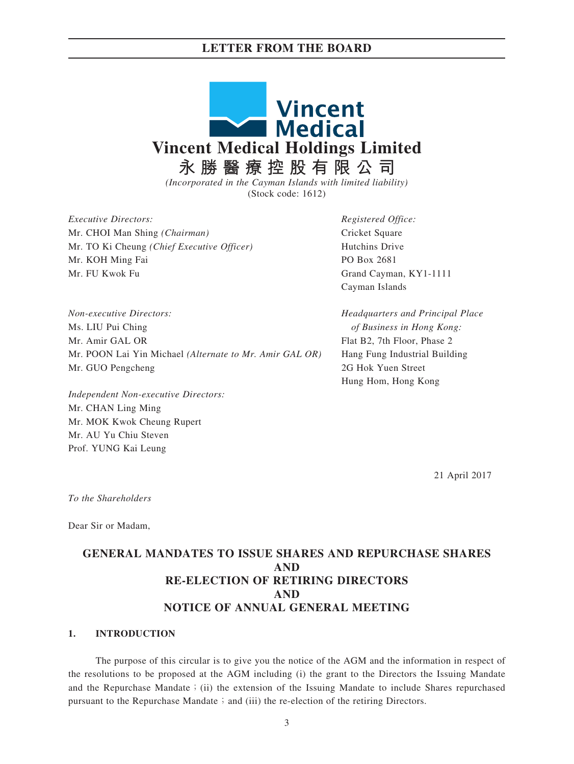### **LETTER FROM THE BOARD**



*(Incorporated in the Cayman Islands with limited liability)* (Stock code: 1612)

*Executive Directors: Registered Office:* Mr. CHOI Man Shing *(Chairman)* Cricket Square Mr. TO Ki Cheung *(Chief Executive Officer)* Hutchins Drive Mr. KOH Ming Fai PO Box 2681 Mr. FU Kwok Fu Grand Cayman, KY1-1111

Cayman Islands

*Non-executive Directors: Headquarters and Principal Place* Ms. LIU Pui Ching *of Business in Hong Kong:* Mr. Amir GAL OR Flat B2, 7th Floor, Phase 2 Mr. POON Lai Yin Michael *(Alternate to Mr. Amir GAL OR)* Hang Fung Industrial Building Mr. GUO Pengcheng 2G Hok Yuen Street

*Independent Non-executive Directors:* Mr. CHAN Ling Ming Mr. MOK Kwok Cheung Rupert Mr. AU Yu Chiu Steven Prof. YUNG Kai Leung

Hung Hom, Hong Kong

21 April 2017

*To the Shareholders*

Dear Sir or Madam,

## **GENERAL MANDATES TO ISSUE SHARES AND REPURCHASE SHARES AND RE-ELECTION OF RETIRING DIRECTORS AND NOTICE OF ANNUAL GENERAL MEETING**

#### **1. INTRODUCTION**

The purpose of this circular is to give you the notice of the AGM and the information in respect of the resolutions to be proposed at the AGM including (i) the grant to the Directors the Issuing Mandate and the Repurchase Mandate; (ii) the extension of the Issuing Mandate to include Shares repurchased pursuant to the Repurchase Mandate  $\frac{1}{2}$  and (iii) the re-election of the retiring Directors.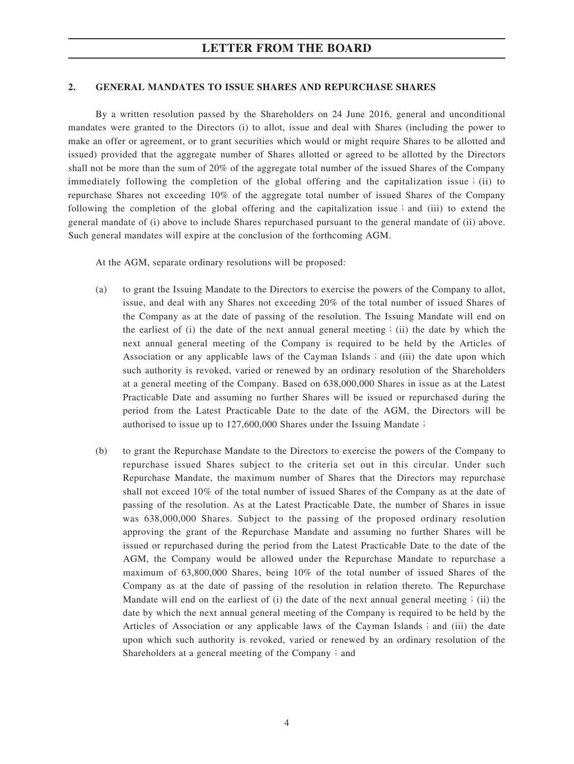#### **2. GENERAL MANDATES TO ISSUE SHARES AND REPURCHASE SHARES**

By a written resolution passed by the Shareholders on 24 June 2016, general and unconditional mandates were granted to the Directors (i) to allot, issue and deal with Shares (including the power to make an offer or agreement, or to grant securities which would or might require Shares to be allotted and issued) provided that the aggregate number of Shares allotted or agreed to be allotted by the Directors shall not be more than the sum of 20% of the aggregate total number of the issued Shares of the Company immediately following the completion of the global offering and the capitalization issue; (ii) to repurchase Shares not exceeding 10% of the aggregate total number of issued Shares of the Company following the completion of the global offering and the capitalization issue; and (iii) to extend the general mandate of (i) above to include Shares repurchased pursuant to the general mandate of (ii) above. Such general mandates will expire at the conclusion of the forthcoming AGM.

At the AGM, separate ordinary resolutions will be proposed:

- (a) to grant the Issuing Mandate to the Directors to exercise the powers of the Company to allot, issue, and deal with any Shares not exceeding 20% of the total number of issued Shares of the Company as at the date of passing of the resolution. The Issuing Mandate will end on the earliest of (i) the date of the next annual general meeting; (ii) the date by which the next annual general meeting of the Company is required to be held by the Articles of Association or any applicable laws of the Cayman Islands; and (iii) the date upon which such authority is revoked, varied or renewed by an ordinary resolution of the Shareholders at a general meeting of the Company. Based on 638,000,000 Shares in issue as at the Latest Practicable Date and assuming no further Shares will be issued or repurchased during the period from the Latest Practicable Date to the date of the AGM, the Directors will be authorised to issue up to 127,600,000 Shares under the Issuing Mandate;
- (b) to grant the Repurchase Mandate to the Directors to exercise the powers of the Company to repurchase issued Shares subject to the criteria set out in this circular. Under such Repurchase Mandate, the maximum number of Shares that the Directors may repurchase shall not exceed 10% of the total number of issued Shares of the Company as at the date of passing of the resolution. As at the Latest Practicable Date, the number of Shares in issue was 638,000,000 Shares. Subject to the passing of the proposed ordinary resolution approving the grant of the Repurchase Mandate and assuming no further Shares will be issued or repurchased during the period from the Latest Practicable Date to the date of the AGM, the Company would be allowed under the Repurchase Mandate to repurchase a maximum of 63,800,000 Shares, being 10% of the total number of issued Shares of the Company as at the date of passing of the resolution in relation thereto. The Repurchase Mandate will end on the earliest of (i) the date of the next annual general meeting; (ii) the date by which the next annual general meeting of the Company is required to be held by the Articles of Association or any applicable laws of the Cayman Islands; and (iii) the date upon which such authority is revoked, varied or renewed by an ordinary resolution of the Shareholders at a general meeting of the Company  $\mathfrak{z}$  and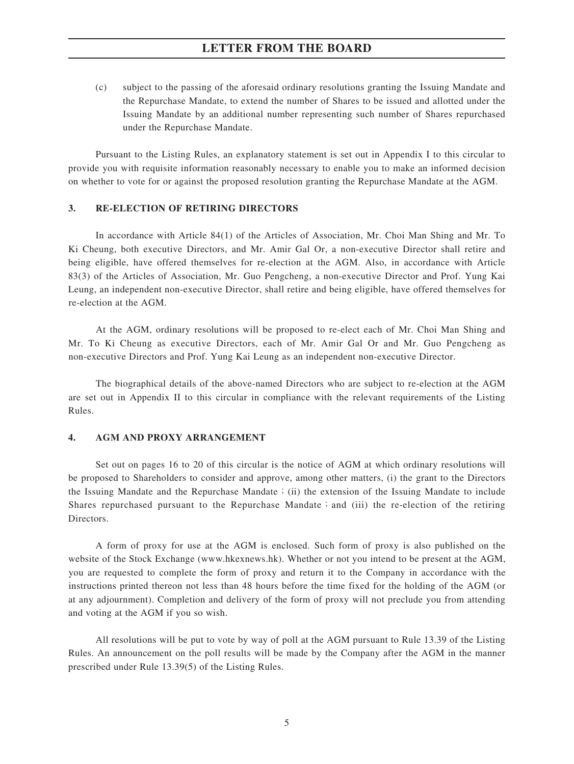## **LETTER FROM THE BOARD**

(c) subject to the passing of the aforesaid ordinary resolutions granting the Issuing Mandate and the Repurchase Mandate, to extend the number of Shares to be issued and allotted under the Issuing Mandate by an additional number representing such number of Shares repurchased under the Repurchase Mandate.

Pursuant to the Listing Rules, an explanatory statement is set out in Appendix I to this circular to provide you with requisite information reasonably necessary to enable you to make an informed decision on whether to vote for or against the proposed resolution granting the Repurchase Mandate at the AGM.

#### **3. RE-ELECTION OF RETIRING DIRECTORS**

In accordance with Article 84(1) of the Articles of Association, Mr. Choi Man Shing and Mr. To Ki Cheung, both executive Directors, and Mr. Amir Gal Or, a non-executive Director shall retire and being eligible, have offered themselves for re-election at the AGM. Also, in accordance with Article 83(3) of the Articles of Association, Mr. Guo Pengcheng, a non-executive Director and Prof. Yung Kai Leung, an independent non-executive Director, shall retire and being eligible, have offered themselves for re-election at the AGM.

At the AGM, ordinary resolutions will be proposed to re-elect each of Mr. Choi Man Shing and Mr. To Ki Cheung as executive Directors, each of Mr. Amir Gal Or and Mr. Guo Pengcheng as non-executive Directors and Prof. Yung Kai Leung as an independent non-executive Director.

The biographical details of the above-named Directors who are subject to re-election at the AGM are set out in Appendix II to this circular in compliance with the relevant requirements of the Listing Rules.

#### **4. AGM AND PROXY ARRANGEMENT**

Set out on pages 16 to 20 of this circular is the notice of AGM at which ordinary resolutions will be proposed to Shareholders to consider and approve, among other matters, (i) the grant to the Directors the Issuing Mandate and the Repurchase Mandate; (ii) the extension of the Issuing Mandate to include Shares repurchased pursuant to the Repurchase Mandate; and (iii) the re-election of the retiring Directors.

A form of proxy for use at the AGM is enclosed. Such form of proxy is also published on the website of the Stock Exchange (www.hkexnews.hk). Whether or not you intend to be present at the AGM, you are requested to complete the form of proxy and return it to the Company in accordance with the instructions printed thereon not less than 48 hours before the time fixed for the holding of the AGM (or at any adjournment). Completion and delivery of the form of proxy will not preclude you from attending and voting at the AGM if you so wish.

All resolutions will be put to vote by way of poll at the AGM pursuant to Rule 13.39 of the Listing Rules. An announcement on the poll results will be made by the Company after the AGM in the manner prescribed under Rule 13.39(5) of the Listing Rules.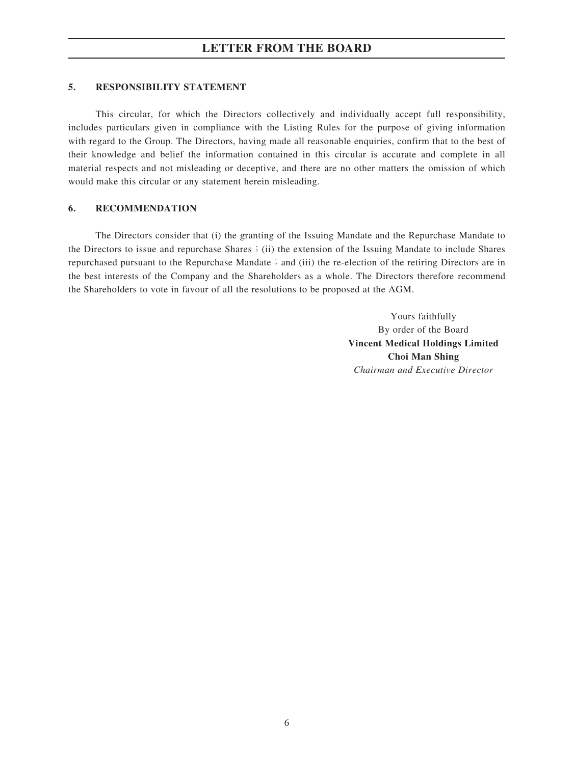### **5. RESPONSIBILITY STATEMENT**

This circular, for which the Directors collectively and individually accept full responsibility, includes particulars given in compliance with the Listing Rules for the purpose of giving information with regard to the Group. The Directors, having made all reasonable enquiries, confirm that to the best of their knowledge and belief the information contained in this circular is accurate and complete in all material respects and not misleading or deceptive, and there are no other matters the omission of which would make this circular or any statement herein misleading.

### **6. RECOMMENDATION**

The Directors consider that (i) the granting of the Issuing Mandate and the Repurchase Mandate to the Directors to issue and repurchase Shares;(ii) the extension of the Issuing Mandate to include Shares repurchased pursuant to the Repurchase Mandate; and (iii) the re-election of the retiring Directors are in the best interests of the Company and the Shareholders as a whole. The Directors therefore recommend the Shareholders to vote in favour of all the resolutions to be proposed at the AGM.

> Yours faithfully By order of the Board **Vincent Medical Holdings Limited Choi Man Shing** *Chairman and Executive Director*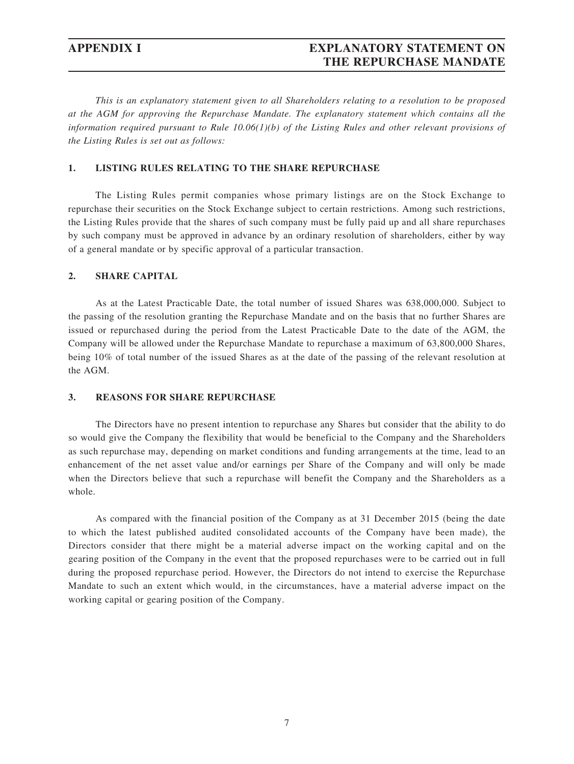## **APPENDIX I EXPLANATORY STATEMENT ON THE REPURCHASE MANDATE**

*This is an explanatory statement given to all Shareholders relating to a resolution to be proposed at the AGM for approving the Repurchase Mandate. The explanatory statement which contains all the information required pursuant to Rule 10.06(1)(b) of the Listing Rules and other relevant provisions of the Listing Rules is set out as follows:*

#### **1. LISTING RULES RELATING TO THE SHARE REPURCHASE**

The Listing Rules permit companies whose primary listings are on the Stock Exchange to repurchase their securities on the Stock Exchange subject to certain restrictions. Among such restrictions, the Listing Rules provide that the shares of such company must be fully paid up and all share repurchases by such company must be approved in advance by an ordinary resolution of shareholders, either by way of a general mandate or by specific approval of a particular transaction.

### **2. SHARE CAPITAL**

As at the Latest Practicable Date, the total number of issued Shares was 638,000,000. Subject to the passing of the resolution granting the Repurchase Mandate and on the basis that no further Shares are issued or repurchased during the period from the Latest Practicable Date to the date of the AGM, the Company will be allowed under the Repurchase Mandate to repurchase a maximum of 63,800,000 Shares, being 10% of total number of the issued Shares as at the date of the passing of the relevant resolution at the AGM.

#### **3. REASONS FOR SHARE REPURCHASE**

The Directors have no present intention to repurchase any Shares but consider that the ability to do so would give the Company the flexibility that would be beneficial to the Company and the Shareholders as such repurchase may, depending on market conditions and funding arrangements at the time, lead to an enhancement of the net asset value and/or earnings per Share of the Company and will only be made when the Directors believe that such a repurchase will benefit the Company and the Shareholders as a whole.

As compared with the financial position of the Company as at 31 December 2015 (being the date to which the latest published audited consolidated accounts of the Company have been made), the Directors consider that there might be a material adverse impact on the working capital and on the gearing position of the Company in the event that the proposed repurchases were to be carried out in full during the proposed repurchase period. However, the Directors do not intend to exercise the Repurchase Mandate to such an extent which would, in the circumstances, have a material adverse impact on the working capital or gearing position of the Company.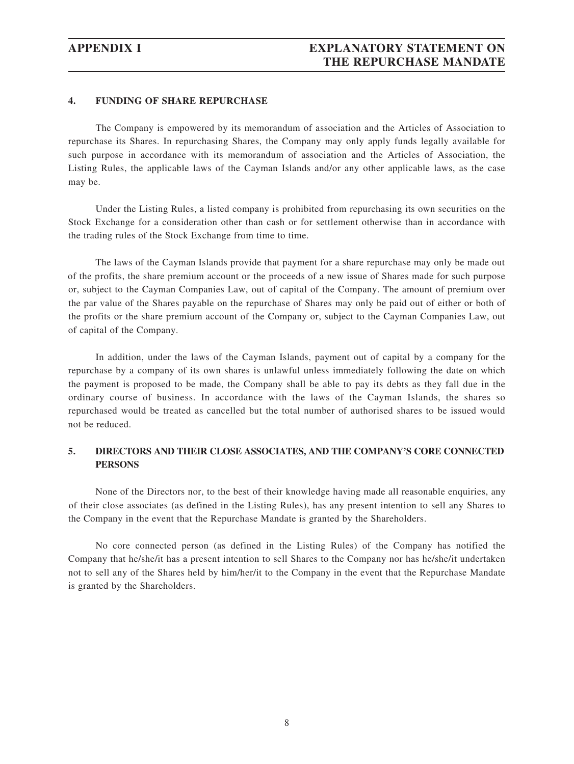### **4. FUNDING OF SHARE REPURCHASE**

The Company is empowered by its memorandum of association and the Articles of Association to repurchase its Shares. In repurchasing Shares, the Company may only apply funds legally available for such purpose in accordance with its memorandum of association and the Articles of Association, the Listing Rules, the applicable laws of the Cayman Islands and/or any other applicable laws, as the case may be.

Under the Listing Rules, a listed company is prohibited from repurchasing its own securities on the Stock Exchange for a consideration other than cash or for settlement otherwise than in accordance with the trading rules of the Stock Exchange from time to time.

The laws of the Cayman Islands provide that payment for a share repurchase may only be made out of the profits, the share premium account or the proceeds of a new issue of Shares made for such purpose or, subject to the Cayman Companies Law, out of capital of the Company. The amount of premium over the par value of the Shares payable on the repurchase of Shares may only be paid out of either or both of the profits or the share premium account of the Company or, subject to the Cayman Companies Law, out of capital of the Company.

In addition, under the laws of the Cayman Islands, payment out of capital by a company for the repurchase by a company of its own shares is unlawful unless immediately following the date on which the payment is proposed to be made, the Company shall be able to pay its debts as they fall due in the ordinary course of business. In accordance with the laws of the Cayman Islands, the shares so repurchased would be treated as cancelled but the total number of authorised shares to be issued would not be reduced.

### **5. DIRECTORS AND THEIR CLOSE ASSOCIATES, AND THE COMPANY'S CORE CONNECTED PERSONS**

None of the Directors nor, to the best of their knowledge having made all reasonable enquiries, any of their close associates (as defined in the Listing Rules), has any present intention to sell any Shares to the Company in the event that the Repurchase Mandate is granted by the Shareholders.

No core connected person (as defined in the Listing Rules) of the Company has notified the Company that he/she/it has a present intention to sell Shares to the Company nor has he/she/it undertaken not to sell any of the Shares held by him/her/it to the Company in the event that the Repurchase Mandate is granted by the Shareholders.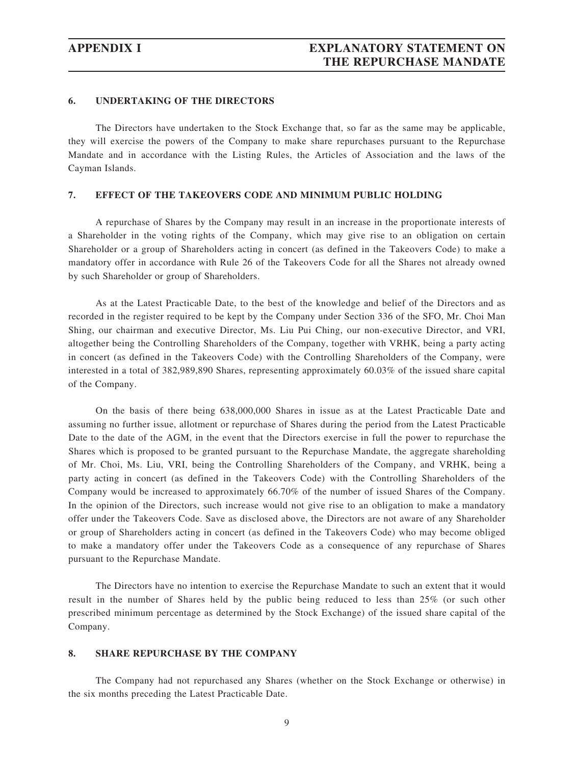### **6. UNDERTAKING OF THE DIRECTORS**

The Directors have undertaken to the Stock Exchange that, so far as the same may be applicable, they will exercise the powers of the Company to make share repurchases pursuant to the Repurchase Mandate and in accordance with the Listing Rules, the Articles of Association and the laws of the Cayman Islands.

### **7. EFFECT OF THE TAKEOVERS CODE AND MINIMUM PUBLIC HOLDING**

A repurchase of Shares by the Company may result in an increase in the proportionate interests of a Shareholder in the voting rights of the Company, which may give rise to an obligation on certain Shareholder or a group of Shareholders acting in concert (as defined in the Takeovers Code) to make a mandatory offer in accordance with Rule 26 of the Takeovers Code for all the Shares not already owned by such Shareholder or group of Shareholders.

As at the Latest Practicable Date, to the best of the knowledge and belief of the Directors and as recorded in the register required to be kept by the Company under Section 336 of the SFO, Mr. Choi Man Shing, our chairman and executive Director, Ms. Liu Pui Ching, our non-executive Director, and VRI, altogether being the Controlling Shareholders of the Company, together with VRHK, being a party acting in concert (as defined in the Takeovers Code) with the Controlling Shareholders of the Company, were interested in a total of 382,989,890 Shares, representing approximately 60.03% of the issued share capital of the Company.

On the basis of there being 638,000,000 Shares in issue as at the Latest Practicable Date and assuming no further issue, allotment or repurchase of Shares during the period from the Latest Practicable Date to the date of the AGM, in the event that the Directors exercise in full the power to repurchase the Shares which is proposed to be granted pursuant to the Repurchase Mandate, the aggregate shareholding of Mr. Choi, Ms. Liu, VRI, being the Controlling Shareholders of the Company, and VRHK, being a party acting in concert (as defined in the Takeovers Code) with the Controlling Shareholders of the Company would be increased to approximately 66.70% of the number of issued Shares of the Company. In the opinion of the Directors, such increase would not give rise to an obligation to make a mandatory offer under the Takeovers Code. Save as disclosed above, the Directors are not aware of any Shareholder or group of Shareholders acting in concert (as defined in the Takeovers Code) who may become obliged to make a mandatory offer under the Takeovers Code as a consequence of any repurchase of Shares pursuant to the Repurchase Mandate.

The Directors have no intention to exercise the Repurchase Mandate to such an extent that it would result in the number of Shares held by the public being reduced to less than 25% (or such other prescribed minimum percentage as determined by the Stock Exchange) of the issued share capital of the Company.

#### **8. SHARE REPURCHASE BY THE COMPANY**

The Company had not repurchased any Shares (whether on the Stock Exchange or otherwise) in the six months preceding the Latest Practicable Date.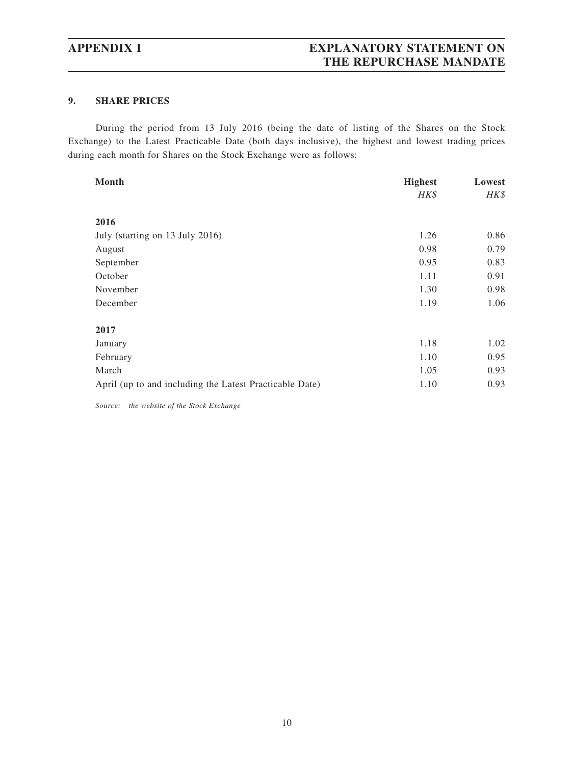## **APPENDIX I EXPLANATORY STATEMENT ON THE REPURCHASE MANDATE**

### **9. SHARE PRICES**

During the period from 13 July 2016 (being the date of listing of the Shares on the Stock Exchange) to the Latest Practicable Date (both days inclusive), the highest and lowest trading prices during each month for Shares on the Stock Exchange were as follows:

| Month                                                   | <b>Highest</b> | Lowest |
|---------------------------------------------------------|----------------|--------|
|                                                         | HK\$           | HK\$   |
| 2016                                                    |                |        |
| July (starting on 13 July 2016)                         | 1.26           | 0.86   |
| August                                                  | 0.98           | 0.79   |
| September                                               | 0.95           | 0.83   |
| October                                                 | 1.11           | 0.91   |
| November                                                | 1.30           | 0.98   |
| December                                                | 1.19           | 1.06   |
| 2017                                                    |                |        |
| January                                                 | 1.18           | 1.02   |
| February                                                | 1.10           | 0.95   |
| March                                                   | 1.05           | 0.93   |
| April (up to and including the Latest Practicable Date) | 1.10           | 0.93   |

*Source: the website of the Stock Exchange*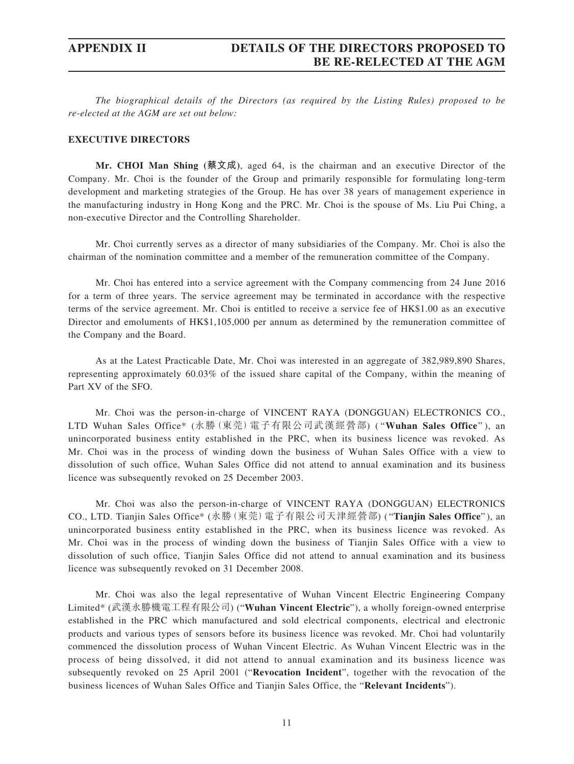*The biographical details of the Directors (as required by the Listing Rules) proposed to be re-elected at the AGM are set out below:*

#### **EXECUTIVE DIRECTORS**

**Mr. CHOI Man Shing (蔡文成)**, aged 64, is the chairman and an executive Director of the Company. Mr. Choi is the founder of the Group and primarily responsible for formulating long-term development and marketing strategies of the Group. He has over 38 years of management experience in the manufacturing industry in Hong Kong and the PRC. Mr. Choi is the spouse of Ms. Liu Pui Ching, a non-executive Director and the Controlling Shareholder.

Mr. Choi currently serves as a director of many subsidiaries of the Company. Mr. Choi is also the chairman of the nomination committee and a member of the remuneration committee of the Company.

Mr. Choi has entered into a service agreement with the Company commencing from 24 June 2016 for a term of three years. The service agreement may be terminated in accordance with the respective terms of the service agreement. Mr. Choi is entitled to receive a service fee of HK\$1.00 as an executive Director and emoluments of HK\$1,105,000 per annum as determined by the remuneration committee of the Company and the Board.

As at the Latest Practicable Date, Mr. Choi was interested in an aggregate of 382,989,890 Shares, representing approximately 60.03% of the issued share capital of the Company, within the meaning of Part XV of the SFO.

Mr. Choi was the person-in-charge of VINCENT RAYA (DONGGUAN) ELECTRONICS CO., LTD Wuhan Sales Office\* (永勝(東莞)電子有限公司武漢經營部) ( "**Wuhan Sales Office**" ), an unincorporated business entity established in the PRC, when its business licence was revoked. As Mr. Choi was in the process of winding down the business of Wuhan Sales Office with a view to dissolution of such office, Wuhan Sales Office did not attend to annual examination and its business licence was subsequently revoked on 25 December 2003.

Mr. Choi was also the person-in-charge of VINCENT RAYA (DONGGUAN) ELECTRONICS CO., LTD. Tianjin Sales Office\* (永勝(東莞)電子有限公司天津經營部) ( "**Tianjin Sales Office**" ), an unincorporated business entity established in the PRC, when its business licence was revoked. As Mr. Choi was in the process of winding down the business of Tianjin Sales Office with a view to dissolution of such office, Tianjin Sales Office did not attend to annual examination and its business licence was subsequently revoked on 31 December 2008.

Mr. Choi was also the legal representative of Wuhan Vincent Electric Engineering Company Limited\* (武漢永勝機電工程有限公司) ("**Wuhan Vincent Electric**"), a wholly foreign-owned enterprise established in the PRC which manufactured and sold electrical components, electrical and electronic products and various types of sensors before its business licence was revoked. Mr. Choi had voluntarily commenced the dissolution process of Wuhan Vincent Electric. As Wuhan Vincent Electric was in the process of being dissolved, it did not attend to annual examination and its business licence was subsequently revoked on 25 April 2001 ("**Revocation Incident**", together with the revocation of the business licences of Wuhan Sales Office and Tianjin Sales Office, the "**Relevant Incidents**").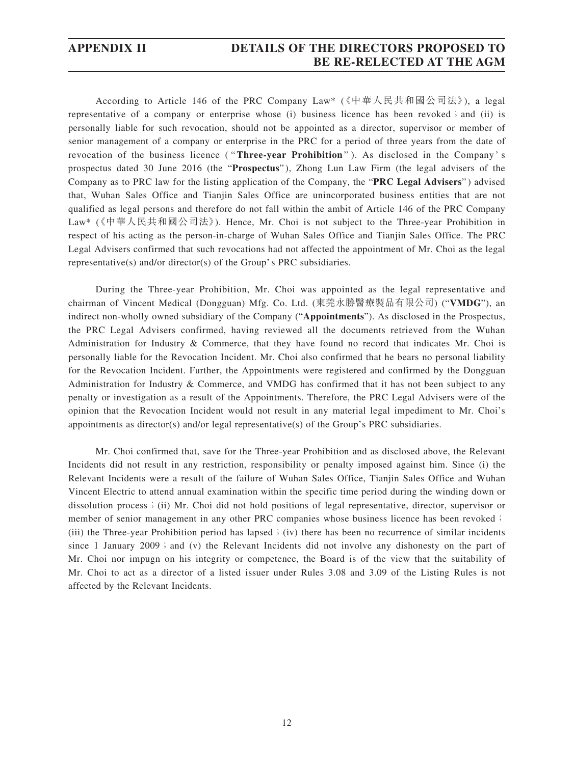## **APPENDIX II DETAILS OF THE DIRECTORS PROPOSED TO BE RE-RELECTED AT THE AGM**

According to Article 146 of the PRC Company Law\* (《中華人民共和國公司法》), a legal representative of a company or enterprise whose (i) business licence has been revoked; and (ii) is personally liable for such revocation, should not be appointed as a director, supervisor or member of senior management of a company or enterprise in the PRC for a period of three years from the date of revocation of the business licence ( "**Three-year Prohibition** " ). As disclosed in the Company ' s prospectus dated 30 June 2016 (the "**Prospectus**" ), Zhong Lun Law Firm (the legal advisers of the Company as to PRC law for the listing application of the Company, the "**PRC Legal Advisers**" ) advised that, Wuhan Sales Office and Tianjin Sales Office are unincorporated business entities that are not qualified as legal persons and therefore do not fall within the ambit of Article 146 of the PRC Company Law\* 《( 中華人民共和國公司法》). Hence, Mr. Choi is not subject to the Three-year Prohibition in respect of his acting as the person-in-charge of Wuhan Sales Office and Tianjin Sales Office. The PRC Legal Advisers confirmed that such revocations had not affected the appointment of Mr. Choi as the legal representative(s) and/or director(s) of the Group's PRC subsidiaries.

During the Three-year Prohibition, Mr. Choi was appointed as the legal representative and chairman of Vincent Medical (Dongguan) Mfg. Co. Ltd. (東莞永勝醫療製品有限公司) ("**VMDG**"), an indirect non-wholly owned subsidiary of the Company ("**Appointments**"). As disclosed in the Prospectus, the PRC Legal Advisers confirmed, having reviewed all the documents retrieved from the Wuhan Administration for Industry & Commerce, that they have found no record that indicates Mr. Choi is personally liable for the Revocation Incident. Mr. Choi also confirmed that he bears no personal liability for the Revocation Incident. Further, the Appointments were registered and confirmed by the Dongguan Administration for Industry & Commerce, and VMDG has confirmed that it has not been subject to any penalty or investigation as a result of the Appointments. Therefore, the PRC Legal Advisers were of the opinion that the Revocation Incident would not result in any material legal impediment to Mr. Choi's appointments as director(s) and/or legal representative(s) of the Group's PRC subsidiaries.

Mr. Choi confirmed that, save for the Three-year Prohibition and as disclosed above, the Relevant Incidents did not result in any restriction, responsibility or penalty imposed against him. Since (i) the Relevant Incidents were a result of the failure of Wuhan Sales Office, Tianjin Sales Office and Wuhan Vincent Electric to attend annual examination within the specific time period during the winding down or dissolution process; (ii) Mr. Choi did not hold positions of legal representative, director, supervisor or member of senior management in any other PRC companies whose business licence has been revoked; (iii) the Three-year Prohibition period has lapsed; (iv) there has been no recurrence of similar incidents since 1 January 2009; and (v) the Relevant Incidents did not involve any dishonesty on the part of Mr. Choi nor impugn on his integrity or competence, the Board is of the view that the suitability of Mr. Choi to act as a director of a listed issuer under Rules 3.08 and 3.09 of the Listing Rules is not affected by the Relevant Incidents.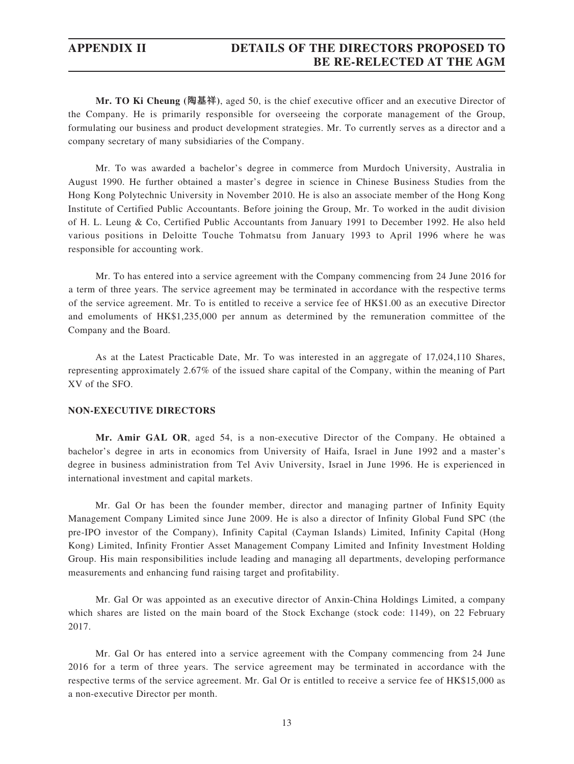## **APPENDIX II DETAILS OF THE DIRECTORS PROPOSED TO BE RE-RELECTED AT THE AGM**

**Mr. TO Ki Cheung (陶基祥)**, aged 50, is the chief executive officer and an executive Director of the Company. He is primarily responsible for overseeing the corporate management of the Group, formulating our business and product development strategies. Mr. To currently serves as a director and a company secretary of many subsidiaries of the Company.

Mr. To was awarded a bachelor's degree in commerce from Murdoch University, Australia in August 1990. He further obtained a master's degree in science in Chinese Business Studies from the Hong Kong Polytechnic University in November 2010. He is also an associate member of the Hong Kong Institute of Certified Public Accountants. Before joining the Group, Mr. To worked in the audit division of H. L. Leung & Co, Certified Public Accountants from January 1991 to December 1992. He also held various positions in Deloitte Touche Tohmatsu from January 1993 to April 1996 where he was responsible for accounting work.

Mr. To has entered into a service agreement with the Company commencing from 24 June 2016 for a term of three years. The service agreement may be terminated in accordance with the respective terms of the service agreement. Mr. To is entitled to receive a service fee of HK\$1.00 as an executive Director and emoluments of HK\$1,235,000 per annum as determined by the remuneration committee of the Company and the Board.

As at the Latest Practicable Date, Mr. To was interested in an aggregate of 17,024,110 Shares, representing approximately 2.67% of the issued share capital of the Company, within the meaning of Part XV of the SFO.

#### **NON-EXECUTIVE DIRECTORS**

**Mr. Amir GAL OR**, aged 54, is a non-executive Director of the Company. He obtained a bachelor's degree in arts in economics from University of Haifa, Israel in June 1992 and a master's degree in business administration from Tel Aviv University, Israel in June 1996. He is experienced in international investment and capital markets.

Mr. Gal Or has been the founder member, director and managing partner of Infinity Equity Management Company Limited since June 2009. He is also a director of Infinity Global Fund SPC (the pre-IPO investor of the Company), Infinity Capital (Cayman Islands) Limited, Infinity Capital (Hong Kong) Limited, Infinity Frontier Asset Management Company Limited and Infinity Investment Holding Group. His main responsibilities include leading and managing all departments, developing performance measurements and enhancing fund raising target and profitability.

Mr. Gal Or was appointed as an executive director of Anxin-China Holdings Limited, a company which shares are listed on the main board of the Stock Exchange (stock code: 1149), on 22 February 2017.

Mr. Gal Or has entered into a service agreement with the Company commencing from 24 June 2016 for a term of three years. The service agreement may be terminated in accordance with the respective terms of the service agreement. Mr. Gal Or is entitled to receive a service fee of HK\$15,000 as a non-executive Director per month.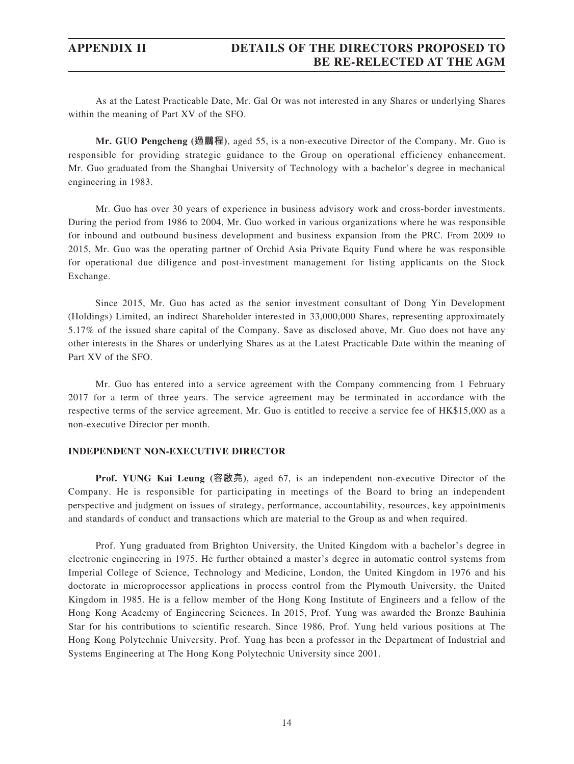As at the Latest Practicable Date, Mr. Gal Or was not interested in any Shares or underlying Shares within the meaning of Part XV of the SFO.

**Mr. GUO Pengcheng (過鵬程)**, aged 55, is a non-executive Director of the Company. Mr. Guo is responsible for providing strategic guidance to the Group on operational efficiency enhancement. Mr. Guo graduated from the Shanghai University of Technology with a bachelor's degree in mechanical engineering in 1983.

Mr. Guo has over 30 years of experience in business advisory work and cross-border investments. During the period from 1986 to 2004, Mr. Guo worked in various organizations where he was responsible for inbound and outbound business development and business expansion from the PRC. From 2009 to 2015, Mr. Guo was the operating partner of Orchid Asia Private Equity Fund where he was responsible for operational due diligence and post-investment management for listing applicants on the Stock Exchange.

Since 2015, Mr. Guo has acted as the senior investment consultant of Dong Yin Development (Holdings) Limited, an indirect Shareholder interested in 33,000,000 Shares, representing approximately 5.17% of the issued share capital of the Company. Save as disclosed above, Mr. Guo does not have any other interests in the Shares or underlying Shares as at the Latest Practicable Date within the meaning of Part XV of the SFO.

Mr. Guo has entered into a service agreement with the Company commencing from 1 February 2017 for a term of three years. The service agreement may be terminated in accordance with the respective terms of the service agreement. Mr. Guo is entitled to receive a service fee of HK\$15,000 as a non-executive Director per month.

#### **INDEPENDENT NON-EXECUTIVE DIRECTOR**

**Prof. YUNG Kai Leung (容啟亮)**, aged 67, is an independent non-executive Director of the Company. He is responsible for participating in meetings of the Board to bring an independent perspective and judgment on issues of strategy, performance, accountability, resources, key appointments and standards of conduct and transactions which are material to the Group as and when required.

Prof. Yung graduated from Brighton University, the United Kingdom with a bachelor's degree in electronic engineering in 1975. He further obtained a master's degree in automatic control systems from Imperial College of Science, Technology and Medicine, London, the United Kingdom in 1976 and his doctorate in microprocessor applications in process control from the Plymouth University, the United Kingdom in 1985. He is a fellow member of the Hong Kong Institute of Engineers and a fellow of the Hong Kong Academy of Engineering Sciences. In 2015, Prof. Yung was awarded the Bronze Bauhinia Star for his contributions to scientific research. Since 1986, Prof. Yung held various positions at The Hong Kong Polytechnic University. Prof. Yung has been a professor in the Department of Industrial and Systems Engineering at The Hong Kong Polytechnic University since 2001.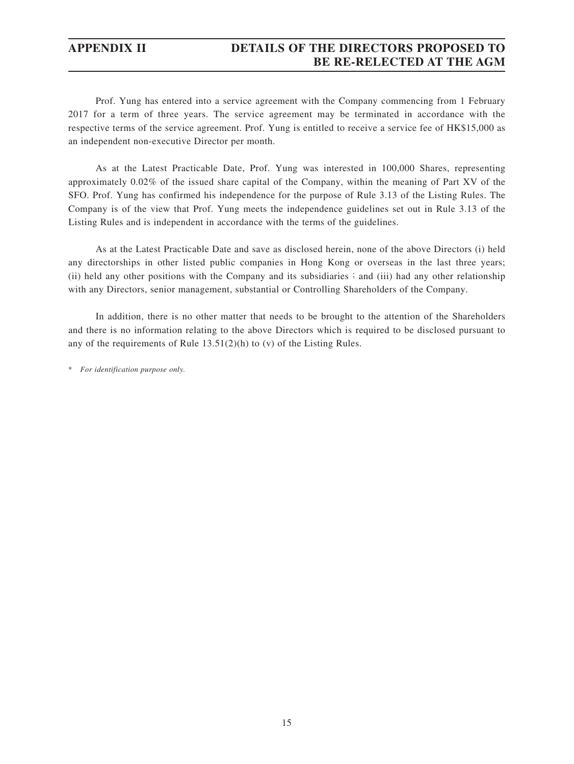## **APPENDIX II DETAILS OF THE DIRECTORS PROPOSED TO BE RE-RELECTED AT THE AGM**

Prof. Yung has entered into a service agreement with the Company commencing from 1 February 2017 for a term of three years. The service agreement may be terminated in accordance with the respective terms of the service agreement. Prof. Yung is entitled to receive a service fee of HK\$15,000 as an independent non-executive Director per month.

As at the Latest Practicable Date, Prof. Yung was interested in 100,000 Shares, representing approximately 0.02% of the issued share capital of the Company, within the meaning of Part XV of the SFO. Prof. Yung has confirmed his independence for the purpose of Rule 3.13 of the Listing Rules. The Company is of the view that Prof. Yung meets the independence guidelines set out in Rule 3.13 of the Listing Rules and is independent in accordance with the terms of the guidelines.

As at the Latest Practicable Date and save as disclosed herein, none of the above Directors (i) held any directorships in other listed public companies in Hong Kong or overseas in the last three years; (ii) held any other positions with the Company and its subsidiaries; and (iii) had any other relationship with any Directors, senior management, substantial or Controlling Shareholders of the Company.

In addition, there is no other matter that needs to be brought to the attention of the Shareholders and there is no information relating to the above Directors which is required to be disclosed pursuant to any of the requirements of Rule 13.51(2)(h) to (v) of the Listing Rules.

\* *For identification purpose only.*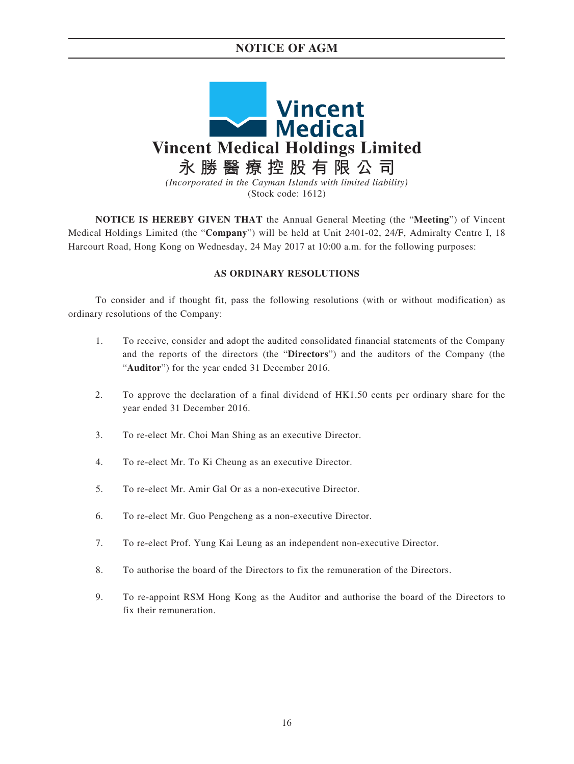## **NOTICE OF AGM**



**NOTICE IS HEREBY GIVEN THAT** the Annual General Meeting (the "**Meeting**") of Vincent Medical Holdings Limited (the "**Company**") will be held at Unit 2401-02, 24/F, Admiralty Centre I, 18 Harcourt Road, Hong Kong on Wednesday, 24 May 2017 at 10:00 a.m. for the following purposes:

### **AS ORDINARY RESOLUTIONS**

To consider and if thought fit, pass the following resolutions (with or without modification) as ordinary resolutions of the Company:

- 1. To receive, consider and adopt the audited consolidated financial statements of the Company and the reports of the directors (the "**Directors**") and the auditors of the Company (the "**Auditor**") for the year ended 31 December 2016.
- 2. To approve the declaration of a final dividend of HK1.50 cents per ordinary share for the year ended 31 December 2016.
- 3. To re-elect Mr. Choi Man Shing as an executive Director.
- 4. To re-elect Mr. To Ki Cheung as an executive Director.
- 5. To re-elect Mr. Amir Gal Or as a non-executive Director.
- 6. To re-elect Mr. Guo Pengcheng as a non-executive Director.
- 7. To re-elect Prof. Yung Kai Leung as an independent non-executive Director.
- 8. To authorise the board of the Directors to fix the remuneration of the Directors.
- 9. To re-appoint RSM Hong Kong as the Auditor and authorise the board of the Directors to fix their remuneration.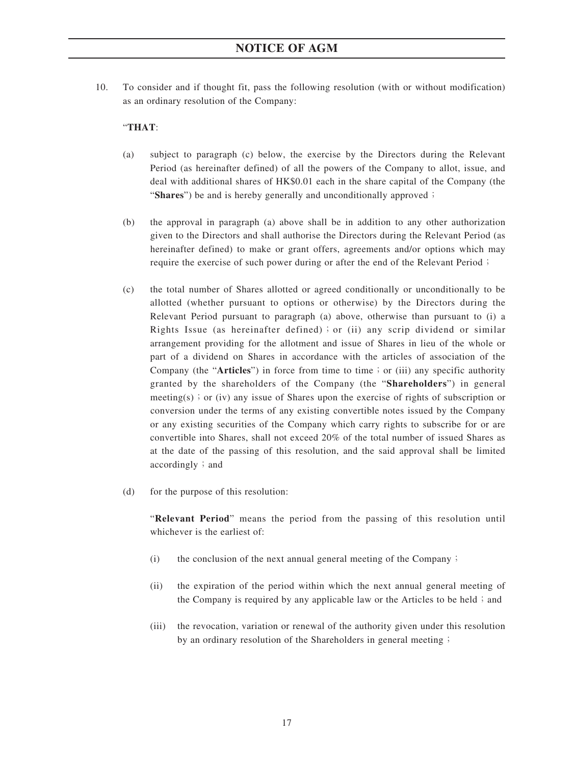10. To consider and if thought fit, pass the following resolution (with or without modification) as an ordinary resolution of the Company:

### "**THAT**:

- (a) subject to paragraph (c) below, the exercise by the Directors during the Relevant Period (as hereinafter defined) of all the powers of the Company to allot, issue, and deal with additional shares of HK\$0.01 each in the share capital of the Company (the "Shares") be and is hereby generally and unconditionally approved;
- (b) the approval in paragraph (a) above shall be in addition to any other authorization given to the Directors and shall authorise the Directors during the Relevant Period (as hereinafter defined) to make or grant offers, agreements and/or options which may require the exercise of such power during or after the end of the Relevant Period;
- (c) the total number of Shares allotted or agreed conditionally or unconditionally to be allotted (whether pursuant to options or otherwise) by the Directors during the Relevant Period pursuant to paragraph (a) above, otherwise than pursuant to (i) a Rights Issue (as hereinafter defined); or (ii) any scrip dividend or similar arrangement providing for the allotment and issue of Shares in lieu of the whole or part of a dividend on Shares in accordance with the articles of association of the Company (the "**Articles**") in force from time to time; or (iii) any specific authority granted by the shareholders of the Company (the "**Shareholders**") in general meeting(s); or (iv) any issue of Shares upon the exercise of rights of subscription or conversion under the terms of any existing convertible notes issued by the Company or any existing securities of the Company which carry rights to subscribe for or are convertible into Shares, shall not exceed 20% of the total number of issued Shares as at the date of the passing of this resolution, and the said approval shall be limited  $accordingly$ ; and
- (d) for the purpose of this resolution:

"**Relevant Period**" means the period from the passing of this resolution until whichever is the earliest of:

- (i) the conclusion of the next annual general meeting of the Company;
- (ii) the expiration of the period within which the next annual general meeting of the Company is required by any applicable law or the Articles to be held; and
- (iii) the revocation, variation or renewal of the authority given under this resolution by an ordinary resolution of the Shareholders in general meeting;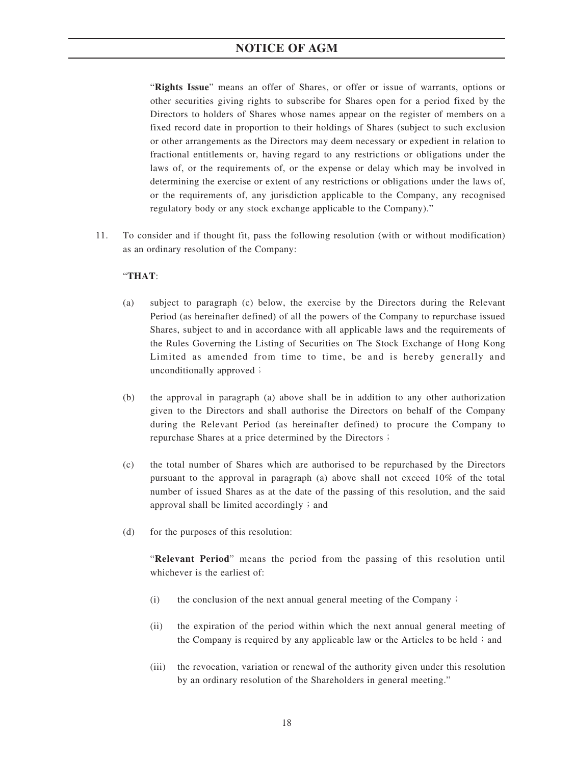## **NOTICE OF AGM**

"**Rights Issue**" means an offer of Shares, or offer or issue of warrants, options or other securities giving rights to subscribe for Shares open for a period fixed by the Directors to holders of Shares whose names appear on the register of members on a fixed record date in proportion to their holdings of Shares (subject to such exclusion or other arrangements as the Directors may deem necessary or expedient in relation to fractional entitlements or, having regard to any restrictions or obligations under the laws of, or the requirements of, or the expense or delay which may be involved in determining the exercise or extent of any restrictions or obligations under the laws of, or the requirements of, any jurisdiction applicable to the Company, any recognised regulatory body or any stock exchange applicable to the Company)."

11. To consider and if thought fit, pass the following resolution (with or without modification) as an ordinary resolution of the Company:

### "**THAT**:

- (a) subject to paragraph (c) below, the exercise by the Directors during the Relevant Period (as hereinafter defined) of all the powers of the Company to repurchase issued Shares, subject to and in accordance with all applicable laws and the requirements of the Rules Governing the Listing of Securities on The Stock Exchange of Hong Kong Limited as amended from time to time, be and is hereby generally and unconditionally approved;
- (b) the approval in paragraph (a) above shall be in addition to any other authorization given to the Directors and shall authorise the Directors on behalf of the Company during the Relevant Period (as hereinafter defined) to procure the Company to repurchase Shares at a price determined by the Directors;
- (c) the total number of Shares which are authorised to be repurchased by the Directors pursuant to the approval in paragraph (a) above shall not exceed 10% of the total number of issued Shares as at the date of the passing of this resolution, and the said approval shall be limited accordingly  $\mathfrak{z}$  and
- (d) for the purposes of this resolution:

"**Relevant Period**" means the period from the passing of this resolution until whichever is the earliest of:

- (i) the conclusion of the next annual general meeting of the Company;
- (ii) the expiration of the period within which the next annual general meeting of the Company is required by any applicable law or the Articles to be held; and
- (iii) the revocation, variation or renewal of the authority given under this resolution by an ordinary resolution of the Shareholders in general meeting."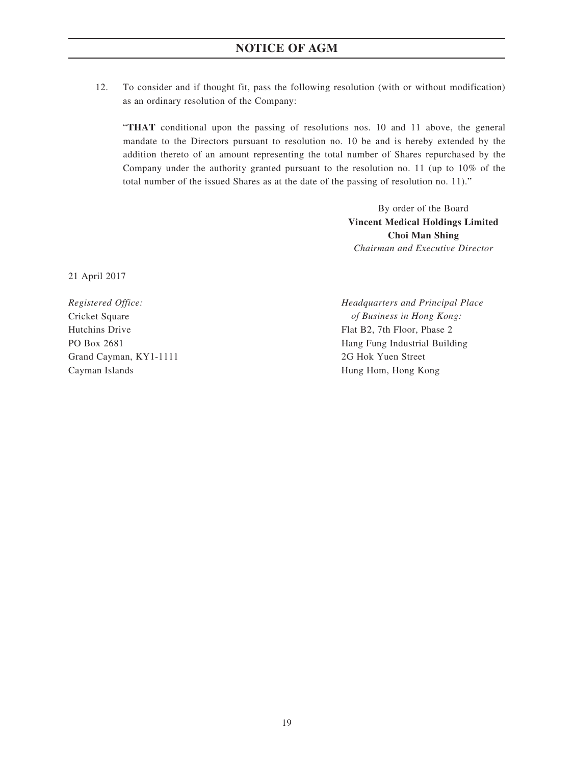12. To consider and if thought fit, pass the following resolution (with or without modification) as an ordinary resolution of the Company:

"**THAT** conditional upon the passing of resolutions nos. 10 and 11 above, the general mandate to the Directors pursuant to resolution no. 10 be and is hereby extended by the addition thereto of an amount representing the total number of Shares repurchased by the Company under the authority granted pursuant to the resolution no. 11 (up to 10% of the total number of the issued Shares as at the date of the passing of resolution no. 11)."

> By order of the Board **Vincent Medical Holdings Limited Choi Man Shing** *Chairman and Executive Director*

21 April 2017

Grand Cayman, KY1-1111 2G Hok Yuen Street Cayman Islands Hung Hom, Hong Kong

*Registered Office: Headquarters and Principal Place* Cricket Square *of Business in Hong Kong:* Hutchins Drive Flat B2, 7th Floor, Phase 2 PO Box 2681 **Hang Fung Industrial Building**